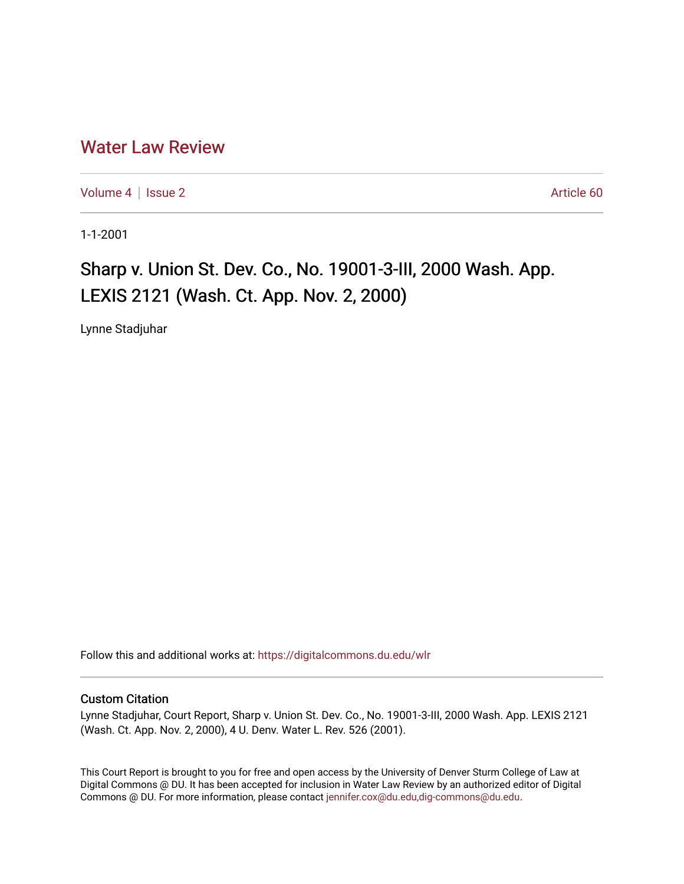## [Water Law Review](https://digitalcommons.du.edu/wlr)

[Volume 4](https://digitalcommons.du.edu/wlr/vol4) | [Issue 2](https://digitalcommons.du.edu/wlr/vol4/iss2) Article 60

1-1-2001

## Sharp v. Union St. Dev. Co., No. 19001-3-III, 2000 Wash. App. LEXIS 2121 (Wash. Ct. App. Nov. 2, 2000)

Lynne Stadjuhar

Follow this and additional works at: [https://digitalcommons.du.edu/wlr](https://digitalcommons.du.edu/wlr?utm_source=digitalcommons.du.edu%2Fwlr%2Fvol4%2Fiss2%2F60&utm_medium=PDF&utm_campaign=PDFCoverPages) 

## Custom Citation

Lynne Stadjuhar, Court Report, Sharp v. Union St. Dev. Co., No. 19001-3-III, 2000 Wash. App. LEXIS 2121 (Wash. Ct. App. Nov. 2, 2000), 4 U. Denv. Water L. Rev. 526 (2001).

This Court Report is brought to you for free and open access by the University of Denver Sturm College of Law at Digital Commons @ DU. It has been accepted for inclusion in Water Law Review by an authorized editor of Digital Commons @ DU. For more information, please contact [jennifer.cox@du.edu,dig-commons@du.edu.](mailto:jennifer.cox@du.edu,dig-commons@du.edu)